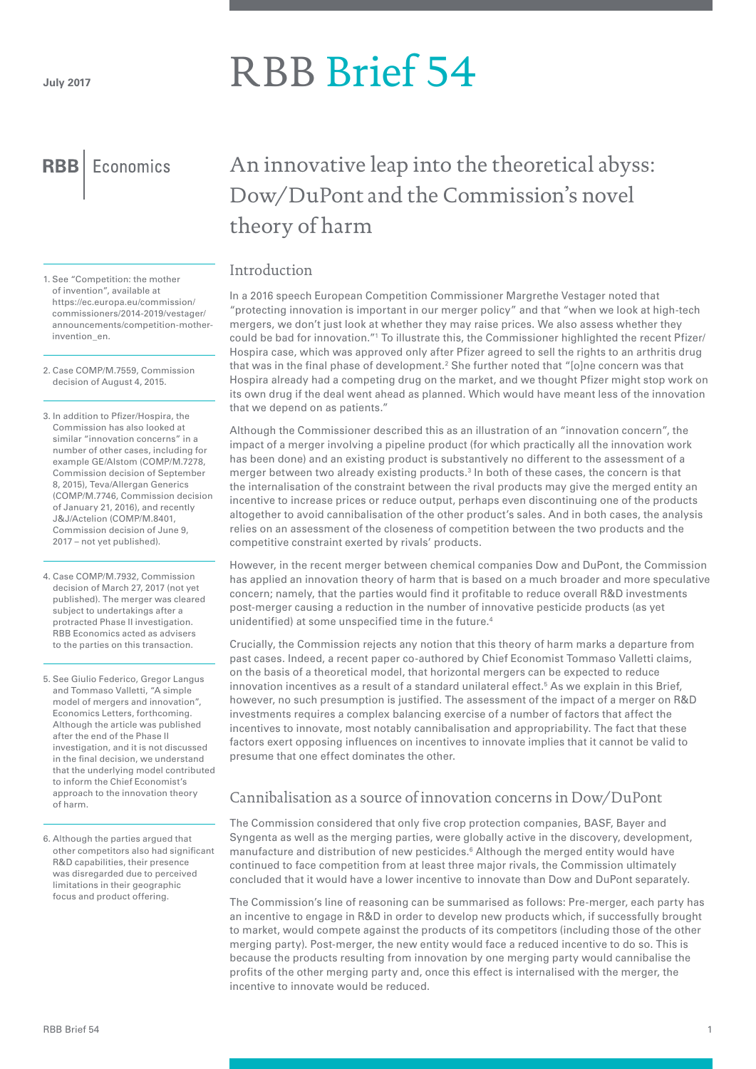# RBB Brief 54

**RBB** Economics

# An innovative leap into the theoretical abyss: Dow/DuPont and the Commission's novel theory of harm

### Introduction

In a 2016 speech European Competition Commissioner Margrethe Vestager noted that "protecting innovation is important in our merger policy" and that "when we look at high-tech mergers, we don't just look at whether they may raise prices. We also assess whether they could be bad for innovation."1 To illustrate this, the Commissioner highlighted the recent Pfizer/ Hospira case, which was approved only after Pfizer agreed to sell the rights to an arthritis drug that was in the final phase of development.<sup>2</sup> She further noted that "[o]ne concern was that Hospira already had a competing drug on the market, and we thought Pfizer might stop work on its own drug if the deal went ahead as planned. Which would have meant less of the innovation that we depend on as patients."

Although the Commissioner described this as an illustration of an "innovation concern", the impact of a merger involving a pipeline product (for which practically all the innovation work has been done) and an existing product is substantively no different to the assessment of a merger between two already existing products.<sup>3</sup> In both of these cases, the concern is that the internalisation of the constraint between the rival products may give the merged entity an incentive to increase prices or reduce output, perhaps even discontinuing one of the products altogether to avoid cannibalisation of the other product's sales. And in both cases, the analysis relies on an assessment of the closeness of competition between the two products and the competitive constraint exerted by rivals' products.

However, in the recent merger between chemical companies Dow and DuPont, the Commission has applied an innovation theory of harm that is based on a much broader and more speculative concern; namely, that the parties would find it profitable to reduce overall R&D investments post-merger causing a reduction in the number of innovative pesticide products (as yet unidentified) at some unspecified time in the future.4

Crucially, the Commission rejects any notion that this theory of harm marks a departure from past cases. Indeed, a recent paper co-authored by Chief Economist Tommaso Valletti claims, on the basis of a theoretical model, that horizontal mergers can be expected to reduce innovation incentives as a result of a standard unilateral effect.<sup>5</sup> As we explain in this Brief, however, no such presumption is justified. The assessment of the impact of a merger on R&D investments requires a complex balancing exercise of a number of factors that affect the incentives to innovate, most notably cannibalisation and appropriability. The fact that these factors exert opposing influences on incentives to innovate implies that it cannot be valid to presume that one effect dominates the other.

## Cannibalisation as a source of innovation concerns in Dow/DuPont

The Commission considered that only five crop protection companies, BASF, Bayer and Syngenta as well as the merging parties, were globally active in the discovery, development, manufacture and distribution of new pesticides.<sup>6</sup> Although the merged entity would have continued to face competition from at least three major rivals, the Commission ultimately concluded that it would have a lower incentive to innovate than Dow and DuPont separately.

The Commission's line of reasoning can be summarised as follows: Pre-merger, each party has an incentive to engage in R&D in order to develop new products which, if successfully brought to market, would compete against the products of its competitors (including those of the other merging party). Post-merger, the new entity would face a reduced incentive to do so. This is because the products resulting from innovation by one merging party would cannibalise the profits of the other merging party and, once this effect is internalised with the merger, the incentive to innovate would be reduced.

1. See "Competition: the mother of invention", available at https://ec.europa.eu/commission/ commissioners/2014-2019/vestager/ announcements/competition-motherinvention\_en.

2. Case COMP/M.7559, Commission decision of August 4, 2015.

3. In addition to Pfizer/Hospira, the Commission has also looked at similar "innovation concerns" in a number of other cases, including for example GE/Alstom (COMP/M.7278, Commission decision of September 8, 2015), Teva/Allergan Generics (COMP/M.7746, Commission decision of January 21, 2016), and recently J&J/Actelion (COMP/M.8401, Commission decision of June 9, 2017 – not yet published).

4. Case COMP/M.7932, Commission decision of March 27, 2017 (not yet published). The merger was cleared subject to undertakings after a protracted Phase II investigation. RBB Economics acted as advisers to the parties on this transaction.

5. See Giulio Federico, Gregor Langus and Tommaso Valletti, "A simple model of mergers and innovation", Economics Letters, forthcoming. Although the article was published after the end of the Phase II investigation, and it is not discussed in the final decision, we understand that the underlying model contributed to inform the Chief Economist's approach to the innovation theory of harm.

6. Although the parties argued that other competitors also had significant R&D capabilities, their presence was disregarded due to perceived limitations in their geographic focus and product offering.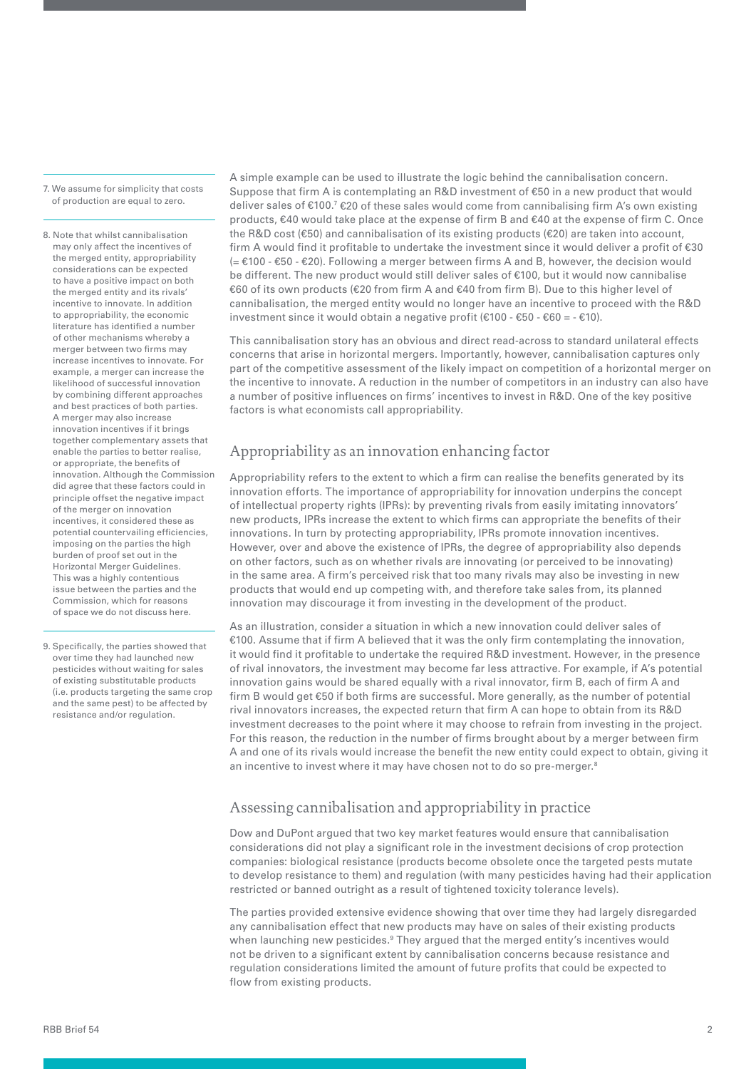7. We assume for simplicity that costs of production are equal to zero.

8. Note that whilst cannibalisation may only affect the incentives of the merged entity, appropriability considerations can be expected to have a positive impact on both the merged entity and its rivals' incentive to innovate. In addition to appropriability, the economic literature has identified a number of other mechanisms whereby a merger between two firms may increase incentives to innovate. For example, a merger can increase the likelihood of successful innovation by combining different approaches and best practices of both parties. A merger may also increase innovation incentives if it brings together complementary assets that enable the parties to better realise, or appropriate, the benefits of innovation. Although the Commission did agree that these factors could in principle offset the negative impact of the merger on innovation incentives, it considered these as potential countervailing efficiencies, imposing on the parties the high burden of proof set out in the Horizontal Merger Guidelines. This was a highly contentious issue between the parties and the Commission, which for reasons of space we do not discuss here.

9. Specifically, the parties showed that over time they had launched new pesticides without waiting for sales of existing substitutable products (i.e. products targeting the same crop and the same pest) to be affected by resistance and/or regulation.

A simple example can be used to illustrate the logic behind the cannibalisation concern. Suppose that firm A is contemplating an R&D investment of €50 in a new product that would deliver sales of €100.<sup>7</sup> €20 of these sales would come from cannibalising firm A's own existing products, €40 would take place at the expense of firm B and €40 at the expense of firm C. Once the R&D cost (€50) and cannibalisation of its existing products (€20) are taken into account, firm A would find it profitable to undertake the investment since it would deliver a profit of €30 (= €100 - €50 - €20). Following a merger between firms A and B, however, the decision would be different. The new product would still deliver sales of €100, but it would now cannibalise €60 of its own products (€20 from firm A and €40 from firm B). Due to this higher level of cannibalisation, the merged entity would no longer have an incentive to proceed with the R&D investment since it would obtain a negative profit (€100 - €50 - €60 = - €10).

This cannibalisation story has an obvious and direct read-across to standard unilateral effects concerns that arise in horizontal mergers. Importantly, however, cannibalisation captures only part of the competitive assessment of the likely impact on competition of a horizontal merger on the incentive to innovate. A reduction in the number of competitors in an industry can also have a number of positive influences on firms' incentives to invest in R&D. One of the key positive factors is what economists call appropriability.

# Appropriability as an innovation enhancing factor

Appropriability refers to the extent to which a firm can realise the benefits generated by its innovation efforts. The importance of appropriability for innovation underpins the concept of intellectual property rights (IPRs): by preventing rivals from easily imitating innovators' new products, IPRs increase the extent to which firms can appropriate the benefits of their innovations. In turn by protecting appropriability, IPRs promote innovation incentives. However, over and above the existence of IPRs, the degree of appropriability also depends on other factors, such as on whether rivals are innovating (or perceived to be innovating) in the same area. A firm's perceived risk that too many rivals may also be investing in new products that would end up competing with, and therefore take sales from, its planned innovation may discourage it from investing in the development of the product.

As an illustration, consider a situation in which a new innovation could deliver sales of €100. Assume that if firm A believed that it was the only firm contemplating the innovation, it would find it profitable to undertake the required R&D investment. However, in the presence of rival innovators, the investment may become far less attractive. For example, if A's potential innovation gains would be shared equally with a rival innovator, firm B, each of firm A and firm B would get €50 if both firms are successful. More generally, as the number of potential rival innovators increases, the expected return that firm A can hope to obtain from its R&D investment decreases to the point where it may choose to refrain from investing in the project. For this reason, the reduction in the number of firms brought about by a merger between firm A and one of its rivals would increase the benefit the new entity could expect to obtain, giving it an incentive to invest where it may have chosen not to do so pre-merger.<sup>8</sup>

# Assessing cannibalisation and appropriability in practice

Dow and DuPont argued that two key market features would ensure that cannibalisation considerations did not play a significant role in the investment decisions of crop protection companies: biological resistance (products become obsolete once the targeted pests mutate to develop resistance to them) and regulation (with many pesticides having had their application restricted or banned outright as a result of tightened toxicity tolerance levels).

The parties provided extensive evidence showing that over time they had largely disregarded any cannibalisation effect that new products may have on sales of their existing products when launching new pesticides.<sup>9</sup> They argued that the merged entity's incentives would not be driven to a significant extent by cannibalisation concerns because resistance and regulation considerations limited the amount of future profits that could be expected to flow from existing products.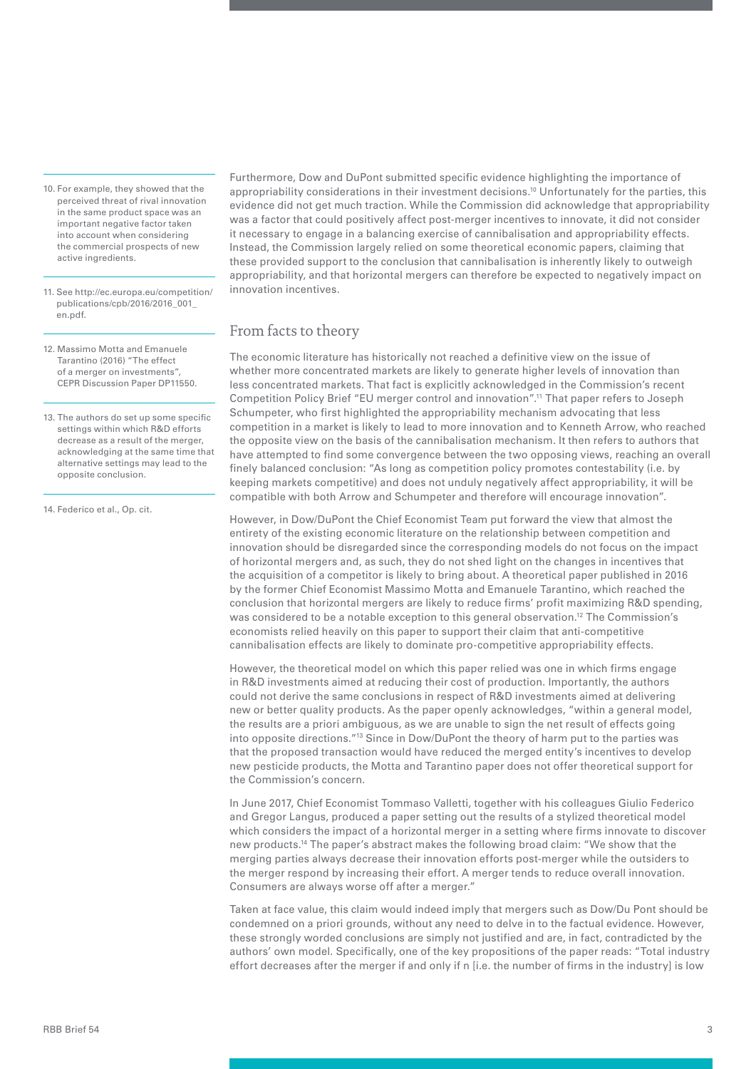- 10. For example, they showed that the perceived threat of rival innovation in the same product space was an important negative factor taken into account when considering the commercial prospects of new active ingredients.
- 11. See http://ec.europa.eu/competition/ publications/cpb/2016/2016\_001\_ en.pdf.
- 12. Massimo Motta and Emanuele Tarantino (2016) "The effect of a merger on investments", CEPR Discussion Paper DP11550.
- 13. The authors do set up some specific settings within which R&D efforts decrease as a result of the merger, acknowledging at the same time that alternative settings may lead to the opposite conclusion.

14. Federico et al., Op. cit.

Furthermore, Dow and DuPont submitted specific evidence highlighting the importance of appropriability considerations in their investment decisions.10 Unfortunately for the parties, this evidence did not get much traction. While the Commission did acknowledge that appropriability was a factor that could positively affect post-merger incentives to innovate, it did not consider it necessary to engage in a balancing exercise of cannibalisation and appropriability effects. Instead, the Commission largely relied on some theoretical economic papers, claiming that these provided support to the conclusion that cannibalisation is inherently likely to outweigh appropriability, and that horizontal mergers can therefore be expected to negatively impact on innovation incentives.

### From facts to theory

The economic literature has historically not reached a definitive view on the issue of whether more concentrated markets are likely to generate higher levels of innovation than less concentrated markets. That fact is explicitly acknowledged in the Commission's recent Competition Policy Brief "EU merger control and innovation".11 That paper refers to Joseph Schumpeter, who first highlighted the appropriability mechanism advocating that less competition in a market is likely to lead to more innovation and to Kenneth Arrow, who reached the opposite view on the basis of the cannibalisation mechanism. It then refers to authors that have attempted to find some convergence between the two opposing views, reaching an overall finely balanced conclusion: "As long as competition policy promotes contestability (i.e. by keeping markets competitive) and does not unduly negatively affect appropriability, it will be compatible with both Arrow and Schumpeter and therefore will encourage innovation".

However, in Dow/DuPont the Chief Economist Team put forward the view that almost the entirety of the existing economic literature on the relationship between competition and innovation should be disregarded since the corresponding models do not focus on the impact of horizontal mergers and, as such, they do not shed light on the changes in incentives that the acquisition of a competitor is likely to bring about. A theoretical paper published in 2016 by the former Chief Economist Massimo Motta and Emanuele Tarantino, which reached the conclusion that horizontal mergers are likely to reduce firms' profit maximizing R&D spending, was considered to be a notable exception to this general observation.<sup>12</sup> The Commission's economists relied heavily on this paper to support their claim that anti-competitive cannibalisation effects are likely to dominate pro-competitive appropriability effects.

However, the theoretical model on which this paper relied was one in which firms engage in R&D investments aimed at reducing their cost of production. Importantly, the authors could not derive the same conclusions in respect of R&D investments aimed at delivering new or better quality products. As the paper openly acknowledges, "within a general model, the results are a priori ambiguous, as we are unable to sign the net result of effects going into opposite directions."13 Since in Dow/DuPont the theory of harm put to the parties was that the proposed transaction would have reduced the merged entity's incentives to develop new pesticide products, the Motta and Tarantino paper does not offer theoretical support for the Commission's concern.

In June 2017, Chief Economist Tommaso Valletti, together with his colleagues Giulio Federico and Gregor Langus, produced a paper setting out the results of a stylized theoretical model which considers the impact of a horizontal merger in a setting where firms innovate to discover new products.14 The paper's abstract makes the following broad claim: "We show that the merging parties always decrease their innovation efforts post-merger while the outsiders to the merger respond by increasing their effort. A merger tends to reduce overall innovation. Consumers are always worse off after a merger."

Taken at face value, this claim would indeed imply that mergers such as Dow/Du Pont should be condemned on a priori grounds, without any need to delve in to the factual evidence. However, these strongly worded conclusions are simply not justified and are, in fact, contradicted by the authors' own model. Specifically, one of the key propositions of the paper reads: "Total industry effort decreases after the merger if and only if n [i.e. the number of firms in the industry] is low